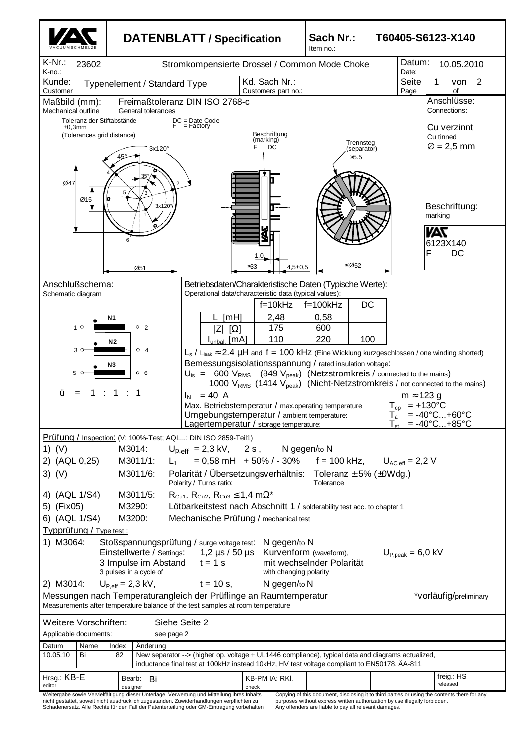

nicht gestattet, soweit nicht ausdrücklich zugestanden. Zuwiderhandlungen verpflichten zu Schadenersatz. Alle Rechte für den Fall der Patenterteilung oder GM-Eintragung vorbehalten

purposes without express written authorization by use illegally forbidden. Any offenders are liable to pay all relevant damages.